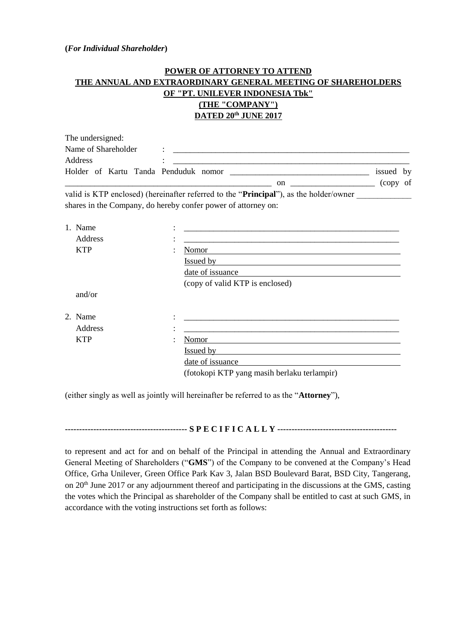## **(***For Individual Shareholder***)**

## **POWER OF ATTORNEY TO ATTEND THE ANNUAL AND EXTRAORDINARY GENERAL MEETING OF SHAREHOLDERS OF "PT. UNILEVER INDONESIA Tbk" (THE "COMPANY") DATED 20th JUNE 2017**

| The undersigned:                     |    |             |
|--------------------------------------|----|-------------|
| Name of Shareholder                  |    |             |
| Address                              |    |             |
| Holder of Kartu Tanda Penduduk nomor |    | issued by   |
|                                      | on | of<br>(copy |

valid is KTP enclosed) (hereinafter referred to the "**Principal**"), as the holder/owner shares in the Company, do hereby confer power of attorney on:

| 1. Name    | ٠<br>٠                                      |
|------------|---------------------------------------------|
| Address    |                                             |
| <b>KTP</b> | Nomor<br>٠                                  |
|            | <b>Issued by</b>                            |
|            | date of issuance                            |
|            | (copy of valid KTP is enclosed)             |
| and/or     |                                             |
| 2. Name    | ٠                                           |
| Address    | ٠                                           |
| <b>KTP</b> | Nomor                                       |
|            | Issued by                                   |
|            | date of issuance                            |
|            | (fotokopi KTP yang masih berlaku terlampir) |

(either singly as well as jointly will hereinafter be referred to as the "**Attorney**"),

**------------------------------------------- S P E C I F I C A L L Y ------------------------------------------**

to represent and act for and on behalf of the Principal in attending the Annual and Extraordinary General Meeting of Shareholders ("**GMS**") of the Company to be convened at the Company's Head Office, Grha Unilever, Green Office Park Kav 3, Jalan BSD Boulevard Barat, BSD City, Tangerang, on 20th June 2017 or any adjournment thereof and participating in the discussions at the GMS, casting the votes which the Principal as shareholder of the Company shall be entitled to cast at such GMS, in accordance with the voting instructions set forth as follows: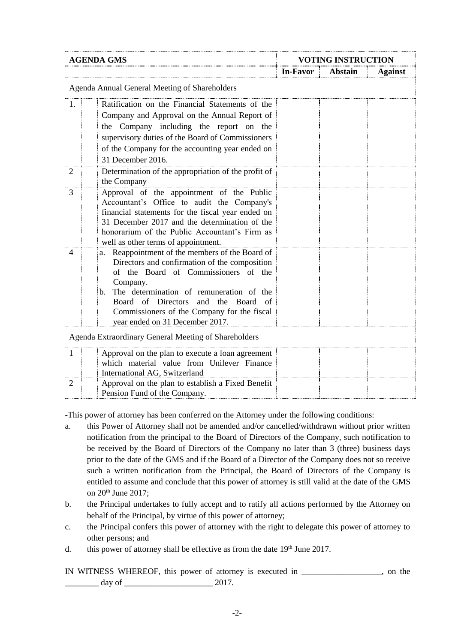| <b>AGENDA GMS</b>                                                                              |                                                                                | <b>VOTING INSTRUCTION</b> |         |                |  |
|------------------------------------------------------------------------------------------------|--------------------------------------------------------------------------------|---------------------------|---------|----------------|--|
|                                                                                                |                                                                                | In-Favor                  | Abstain | <b>Against</b> |  |
| Agenda Annual General Meeting of Shareholders                                                  |                                                                                |                           |         |                |  |
| 1.                                                                                             | Ratification on the Financial Statements of the                                |                           |         |                |  |
|                                                                                                | Company and Approval on the Annual Report of                                   |                           |         |                |  |
|                                                                                                | the Company including the report on the                                        |                           |         |                |  |
|                                                                                                | supervisory duties of the Board of Commissioners                               |                           |         |                |  |
|                                                                                                | of the Company for the accounting year ended on                                |                           |         |                |  |
|                                                                                                | 31 December 2016.                                                              |                           |         |                |  |
| 2                                                                                              | Determination of the appropriation of the profit of                            |                           |         |                |  |
|                                                                                                | the Company                                                                    |                           |         |                |  |
| 3                                                                                              | Approval of the appointment of the Public                                      |                           |         |                |  |
| Accountant's Office to audit the Company's                                                     |                                                                                |                           |         |                |  |
| financial statements for the fiscal year ended on                                              |                                                                                |                           |         |                |  |
| 31 December 2017 and the determination of the<br>honorarium of the Public Accountant's Firm as |                                                                                |                           |         |                |  |
|                                                                                                | well as other terms of appointment.                                            |                           |         |                |  |
| 4                                                                                              | Reappointment of the members of the Board of<br>a.                             |                           |         |                |  |
|                                                                                                | Directors and confirmation of the composition                                  |                           |         |                |  |
|                                                                                                | of the Board of Commissioners of the                                           |                           |         |                |  |
|                                                                                                | Company.                                                                       |                           |         |                |  |
|                                                                                                | The determination of remuneration of the<br>$\mathbf{b}$ .                     |                           |         |                |  |
|                                                                                                | Board of Directors and the Board<br>- of                                       |                           |         |                |  |
|                                                                                                | Commissioners of the Company for the fiscal<br>year ended on 31 December 2017. |                           |         |                |  |
|                                                                                                |                                                                                |                           |         |                |  |
|                                                                                                | Agenda Extraordinary General Meeting of Shareholders                           |                           |         |                |  |
| -1                                                                                             | Approval on the plan to execute a loan agreement                               |                           |         |                |  |
|                                                                                                | which material value from Unilever Finance                                     |                           |         |                |  |
|                                                                                                | International AG, Switzerland                                                  |                           |         |                |  |
| $\overline{2}$                                                                                 | Approval on the plan to establish a Fixed Benefit                              |                           |         |                |  |
|                                                                                                | Pension Fund of the Company.                                                   |                           |         |                |  |

-This power of attorney has been conferred on the Attorney under the following conditions:

- a. this Power of Attorney shall not be amended and/or cancelled/withdrawn without prior written notification from the principal to the Board of Directors of the Company, such notification to be received by the Board of Directors of the Company no later than 3 (three) business days prior to the date of the GMS and if the Board of a Director of the Company does not so receive such a written notification from the Principal, the Board of Directors of the Company is entitled to assume and conclude that this power of attorney is still valid at the date of the GMS on 20<sup>th</sup> June 2017;
- b. the Principal undertakes to fully accept and to ratify all actions performed by the Attorney on behalf of the Principal, by virtue of this power of attorney;
- c. the Principal confers this power of attorney with the right to delegate this power of attorney to other persons; and
- d. this power of attorney shall be effective as from the date  $19<sup>th</sup>$  June 2017.
- IN WITNESS WHEREOF, this power of attorney is executed in \_\_\_\_\_\_\_\_\_\_\_\_\_\_\_\_\_\_\_, on the  $\frac{day}{x}$  day of  $\frac{2017}{x}$ .